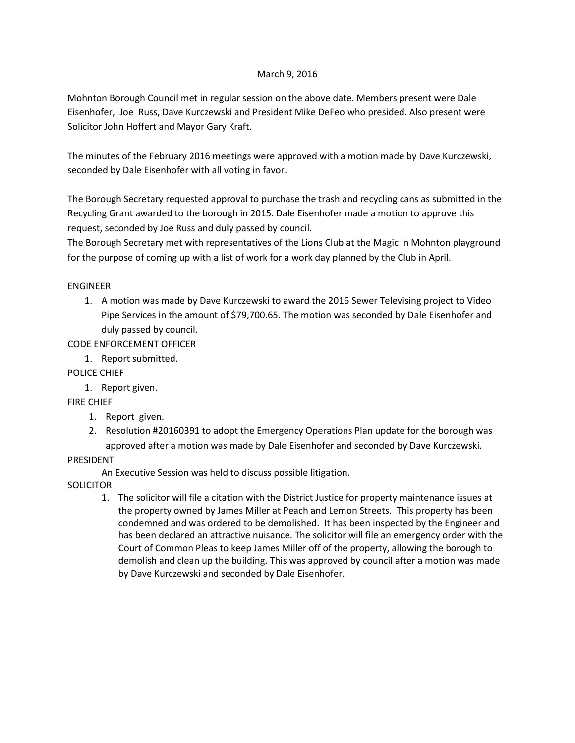#### March 9, 2016

Mohnton Borough Council met in regular session on the above date. Members present were Dale Eisenhofer, Joe Russ, Dave Kurczewski and President Mike DeFeo who presided. Also present were Solicitor John Hoffert and Mayor Gary Kraft.

The minutes of the February 2016 meetings were approved with a motion made by Dave Kurczewski, seconded by Dale Eisenhofer with all voting in favor.

The Borough Secretary requested approval to purchase the trash and recycling cans as submitted in the Recycling Grant awarded to the borough in 2015. Dale Eisenhofer made a motion to approve this request, seconded by Joe Russ and duly passed by council.

The Borough Secretary met with representatives of the Lions Club at the Magic in Mohnton playground for the purpose of coming up with a list of work for a work day planned by the Club in April.

# ENGINEER

1. A motion was made by Dave Kurczewski to award the 2016 Sewer Televising project to Video Pipe Services in the amount of \$79,700.65. The motion was seconded by Dale Eisenhofer and duly passed by council.

CODE ENFORCEMENT OFFICER

1. Report submitted.

# POLICE CHIEF

1. Report given.

# FIRE CHIEF

- 1. Report given.
- 2. Resolution #20160391 to adopt the Emergency Operations Plan update for the borough was approved after a motion was made by Dale Eisenhofer and seconded by Dave Kurczewski.

# PRESIDENT

An Executive Session was held to discuss possible litigation.

**SOLICITOR** 

1. The solicitor will file a citation with the District Justice for property maintenance issues at the property owned by James Miller at Peach and Lemon Streets. This property has been condemned and was ordered to be demolished. It has been inspected by the Engineer and has been declared an attractive nuisance. The solicitor will file an emergency order with the Court of Common Pleas to keep James Miller off of the property, allowing the borough to demolish and clean up the building. This was approved by council after a motion was made by Dave Kurczewski and seconded by Dale Eisenhofer.